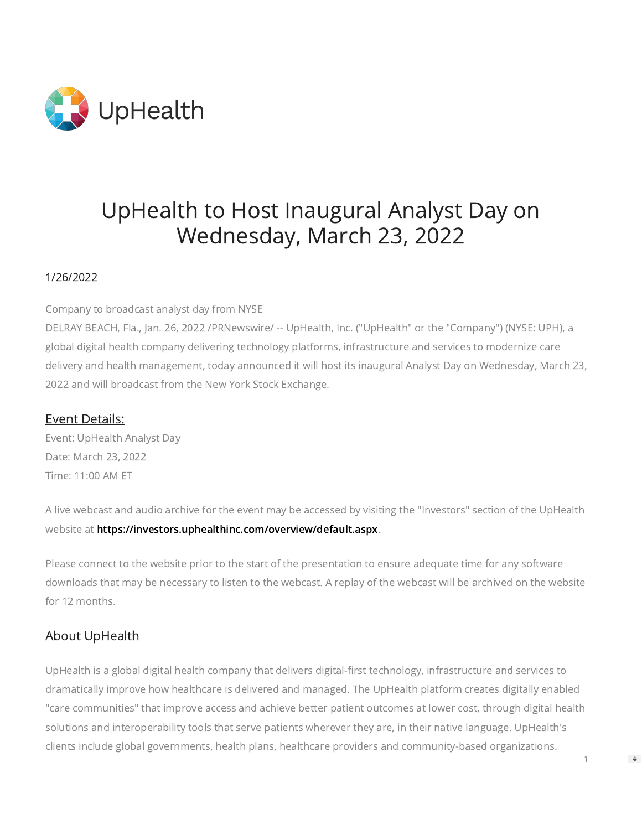

# UpHealth to Host Inaugural Analyst Day on Wednesday, March 23, 2022

### 1/26/2022

#### Company to broadcast analyst day from NYSE

DELRAY BEACH, Fla., Jan. 26, 2022 /PRNewswire/ -- UpHealth, Inc. ("UpHealth" or the "Company") (NYSE: UPH), a global digital health company delivering technology platforms, infrastructure and services to modernize care delivery and health management, today announced it will host its inaugural Analyst Day on Wednesday, March 23, 2022 and will broadcast from the New York Stock Exchange.

#### Event Details:

Event: UpHealth Analyst Day Date: March 23, 2022 Time: 11:00 AM ET

A live webcast and audio archive for the event may be accessed by visiting the "Investors" section of the UpHealth website at [https://investors.uphealthinc.com/overview/default.aspx.](https://c212.net/c/link/?t=0&l=en&o=3424181-1&h=3175762381&u=https%3A%2F%2Finvestors.uphealthinc.com%2Foverview%2Fdefault.aspx&a=https%3A%2F%2Finvestors.uphealthinc.com%2Foverview%2Fdefault.aspx)

Please connect to the website prior to the start of the presentation to ensure adequate time for any software downloads that may be necessary to listen to the webcast. A replay of the webcast will be archived on the website for 12 months.

## About UpHealth

UpHealth is a global digital health company that delivers digital-first technology, infrastructure and services to dramatically improve how healthcare is delivered and managed. The UpHealth platform creates digitally enabled "care communities" that improve access and achieve better patient outcomes at lower cost, through digital health solutions and interoperability tools that serve patients wherever they are, in their native language. UpHealth's clients include global governments, health plans, healthcare providers and community-based organizations.

1

 $\Rightarrow$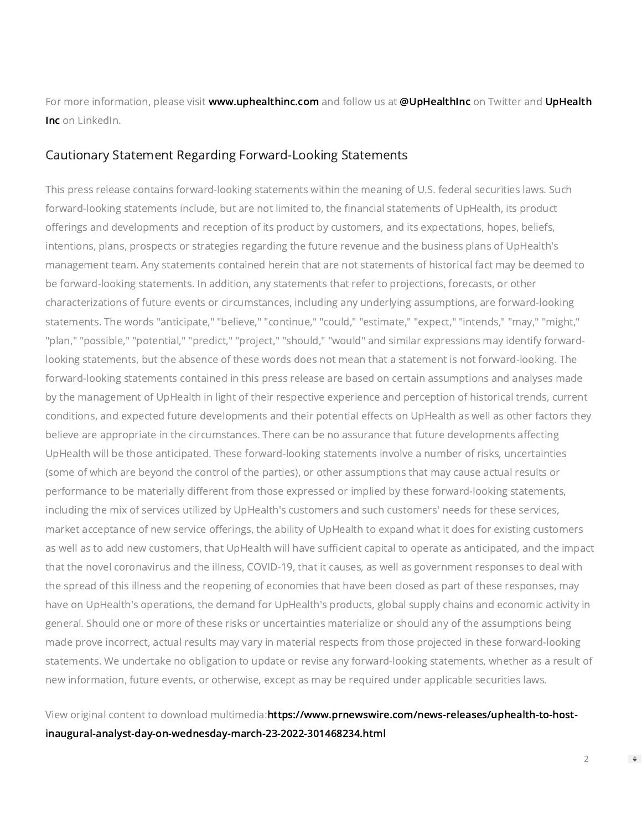For more information, please visit [www.uphealthinc.com](https://c212.net/c/link/?t=0&l=en&o=3424181-1&h=2181825164&u=http%3A%2F%2Fwww.uphealthinc.com%2F&a=www.uphealthinc.com) and follow us at [@UpHealthInc](https://c212.net/c/link/?t=0&l=en&o=3424181-1&h=1097459861&u=https%3A%2F%2Ftwitter.com%2Fuphealthinc&a=%40UpHealthInc) on Twitter and [UpHealth](https://c212.net/c/link/?t=0&l=en&o=3424181-1&h=1122062012&u=https%3A%2F%2Fwww.linkedin.com%2Fcompany%2Fuphealth-inc&a=UpHealth+Inc) [Inc](https://c212.net/c/link/?t=0&l=en&o=3424181-1&h=1122062012&u=https%3A%2F%2Fwww.linkedin.com%2Fcompany%2Fuphealth-inc&a=UpHealth+Inc) on LinkedIn.

### Cautionary Statement Regarding Forward-Looking Statements

This press release contains forward-looking statements within the meaning of U.S. federal securities laws. Such forward-looking statements include, but are not limited to, the financial statements of UpHealth, its product offerings and developments and reception of its product by customers, and its expectations, hopes, beliefs, intentions, plans, prospects or strategies regarding the future revenue and the business plans of UpHealth's management team. Any statements contained herein that are not statements of historical fact may be deemed to be forward-looking statements. In addition, any statements that refer to projections, forecasts, or other characterizations of future events or circumstances, including any underlying assumptions, are forward-looking statements. The words "anticipate," "believe," "continue," "could," "estimate," "expect," "intends," "may," "might," "plan," "possible," "potential," "predict," "project," "should," "would" and similar expressions may identify forwardlooking statements, but the absence of these words does not mean that a statement is not forward-looking. The forward-looking statements contained in this press release are based on certain assumptions and analyses made by the management of UpHealth in light of their respective experience and perception of historical trends, current conditions, and expected future developments and their potential effects on UpHealth as well as other factors they believe are appropriate in the circumstances. There can be no assurance that future developments affecting UpHealth will be those anticipated. These forward-looking statements involve a number of risks, uncertainties (some of which are beyond the control of the parties), or other assumptions that may cause actual results or performance to be materially different from those expressed or implied by these forward-looking statements, including the mix of services utilized by UpHealth's customers and such customers' needs for these services, market acceptance of new service offerings, the ability of UpHealth to expand what it does for existing customers as well as to add new customers, that UpHealth will have sufficient capital to operate as anticipated, and the impact that the novel coronavirus and the illness, COVID-19, that it causes, as well as government responses to deal with the spread of this illness and the reopening of economies that have been closed as part of these responses, may have on UpHealth's operations, the demand for UpHealth's products, global supply chains and economic activity in general. Should one or more of these risks or uncertainties materialize or should any of the assumptions being made prove incorrect, actual results may vary in material respects from those projected in these forward-looking statements. We undertake no obligation to update or revise any forward-looking statements, whether as a result of new information, future events, or otherwise, except as may be required under applicable securities laws.

View original content to download multimedia[:https://www.prnewswire.com/news-releases/uphealth-to-host](https://www.prnewswire.com/news-releases/uphealth-to-host-inaugural-analyst-day-on-wednesday-march-23-2022-301468234.html)[inaugural-analyst-day-on-wednesday-march-23-2022-301468234.html](https://www.prnewswire.com/news-releases/uphealth-to-host-inaugural-analyst-day-on-wednesday-march-23-2022-301468234.html)

 $\overline{2}$ 

 $\Rightarrow$